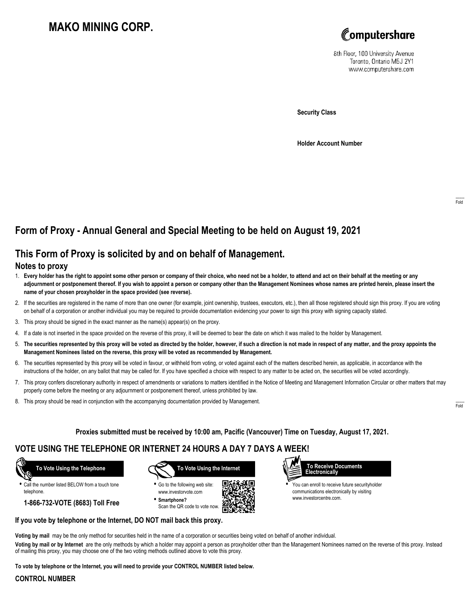# **MAKO MINING CORP.**



8th Floor, 100 University Avenue Toronto, Ontario M5J 2Y1 www.computershare.com

**Security Class**

**Holder Account Number**

## **Form of Proxy - Annual General and Special Meeting to be held on August 19, 2021**

### **This Form of Proxy is solicited by and on behalf of Management.**

#### **Notes to proxy**

- 1. **Every holder has the right to appoint some other person or company of their choice, who need not be a holder, to attend and act on their behalf at the meeting or any adjournment or postponement thereof. If you wish to appoint a person or company other than the Management Nominees whose names are printed herein, please insert the name of your chosen proxyholder in the space provided (see reverse).**
- 2. If the securities are registered in the name of more than one owner (for example, joint ownership, trustees, executors, etc.), then all those registered should sign this proxy. If you are voting on behalf of a corporation or another individual you may be required to provide documentation evidencing your power to sign this proxy with signing capacity stated.
- 3. This proxy should be signed in the exact manner as the name(s) appear(s) on the proxy.
- 4. If a date is not inserted in the space provided on the reverse of this proxy, it will be deemed to bear the date on which it was mailed to the holder by Management.
- 5. **The securities represented by this proxy will be voted as directed by the holder, however, if such a direction is not made in respect of any matter, and the proxy appoints the Management Nominees listed on the reverse, this proxy will be voted as recommended by Management.**
- 6. The securities represented by this proxy will be voted in favour, or withheld from voting, or voted against each of the matters described herein, as applicable, in accordance with the instructions of the holder, on any ballot that may be called for. If you have specified a choice with respect to any matter to be acted on, the securities will be voted accordingly.
- 7. This proxy confers discretionary authority in respect of amendments or variations to matters identified in the Notice of Meeting and Management Information Circular or other matters that may properly come before the meeting or any adjournment or postponement thereof, unless prohibited by law.
- 8. This proxy should be read in conjunction with the accompanying documentation provided by Management.

**Proxies submitted must be received by 10:00 am, Pacific (Vancouver) Time on Tuesday, August 17, 2021.**

### **VOTE USING THE TELEPHONE OR INTERNET 24 HOURS A DAY 7 DAYS A WEEK!**

 **To Vote Using the Telephone**

**•** Call the number listed BELOW from a touch tone telephone.

**1-866-732-VOTE (8683) Toll Free**



**•** Go to the following web site: www.investorvote.com **• Smartphone?**

Scan the QR code to vote now.



 **To Receive Documents Electronically**

> **•** You can enroll to receive future securityholder communications electronically by visiting www.investorcentre.com.

#### **If you vote by telephone or the Internet, DO NOT mail back this proxy.**

**Voting by mail** may be the only method for securities held in the name of a corporation or securities being voted on behalf of another individual.

**Voting by mail or by Internet** are the only methods by which a holder may appoint a person as proxyholder other than the Management Nominees named on the reverse of this proxy. Instead of mailing this proxy, you may choose one of the two voting methods outlined above to vote this proxy.

**To vote by telephone or the Internet, you will need to provide your CONTROL NUMBER listed below.**

#### **CONTROL NUMBER**